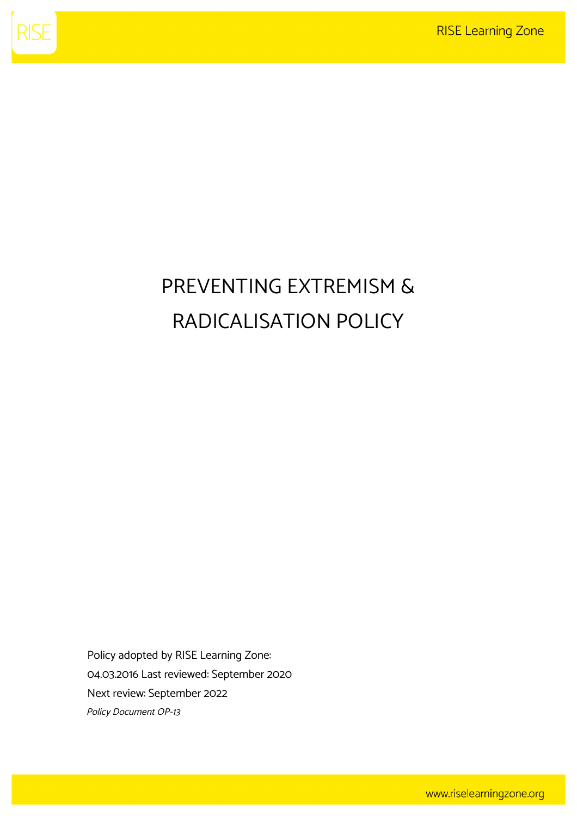

# PREVENTING EXTREMISM & RADICALISATION POLICY

Policy adopted by RISE Learning Zone: 04.03.2016 Last reviewed: September 2020 Next review: September 2022 Policy Document OP-13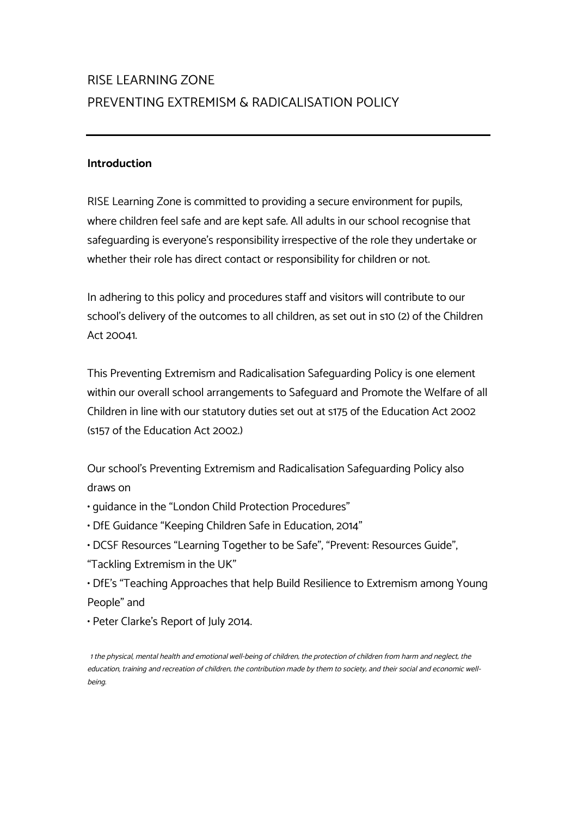# RISE LEARNING ZONE PREVENTING EXTREMISM & RADICALISATION POLICY

# **Introduction**

RISE Learning Zone is committed to providing a secure environment for pupils, where children feel safe and are kept safe. All adults in our school recognise that safeguarding is everyone's responsibility irrespective of the role they undertake or whether their role has direct contact or responsibility for children or not.

In adhering to this policy and procedures staff and visitors will contribute to our school's delivery of the outcomes to all children, as set out in s10 (2) of the Children Act 20041.

This Preventing Extremism and Radicalisation Safeguarding Policy is one element within our overall school arrangements to Safeguard and Promote the Welfare of all Children in line with our statutory duties set out at s175 of the Education Act 2002 (s157 of the Education Act 2002.)

Our school's Preventing Extremism and Radicalisation Safeguarding Policy also draws on

• guidance in the "London Child Protection Procedures"

- DfE Guidance "Keeping Children Safe in Education, 2014"
- DCSF Resources "Learning Together to be Safe", "Prevent: Resources Guide",
- "Tackling Extremism in the UK"
- DfE's "Teaching Approaches that help Build Resilience to Extremism among Young People" and
- Peter Clarke's Report of July 2014.

1 the physical, mental health and emotional well-being of children; the protection of children from harm and neglect; the education, training and recreation of children; the contribution made by them to society; and their social and economic wellbeing.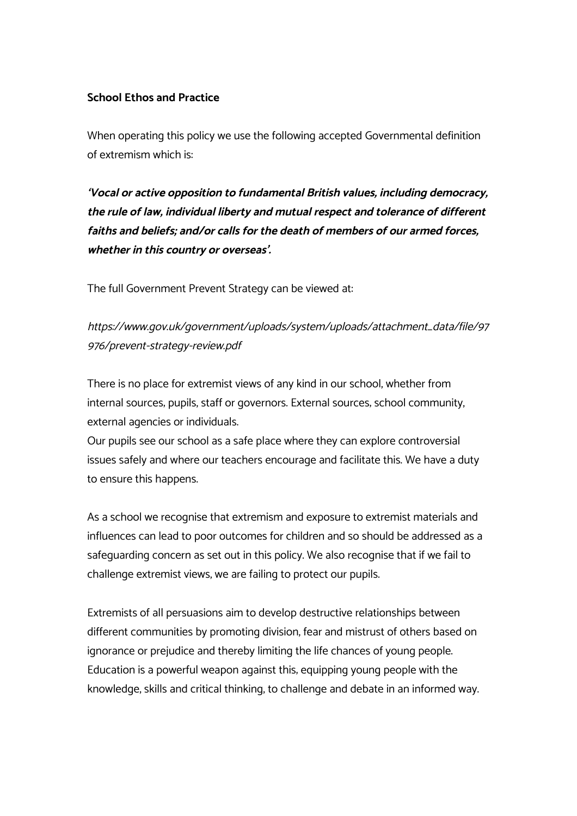# **School Ethos and Practice**

When operating this policy we use the following accepted Governmental definition of extremism which is:

**'Vocal or active opposition to fundamental British values, including democracy, the rule of law, individual liberty and mutual respect and tolerance of different faiths and beliefs; and/or calls for the death of members of our armed forces, whether in this country or overseas'.** 

The full Government Prevent Strategy can be viewed at:

https://www.gov.uk/government/uploads/system/uploads/attachment\_data/file/97 976/prevent-strategy-review.pdf

There is no place for extremist views of any kind in our school, whether from internal sources; pupils, staff or governors. External sources; school community, external agencies or individuals.

Our pupils see our school as a safe place where they can explore controversial issues safely and where our teachers encourage and facilitate this. We have a duty to ensure this happens.

As a school we recognise that extremism and exposure to extremist materials and influences can lead to poor outcomes for children and so should be addressed as a safeguarding concern as set out in this policy. We also recognise that if we fail to challenge extremist views, we are failing to protect our pupils.

Extremists of all persuasions aim to develop destructive relationships between different communities by promoting division, fear and mistrust of others based on ignorance or prejudice and thereby limiting the life chances of young people. Education is a powerful weapon against this; equipping young people with the knowledge, skills and critical thinking, to challenge and debate in an informed way.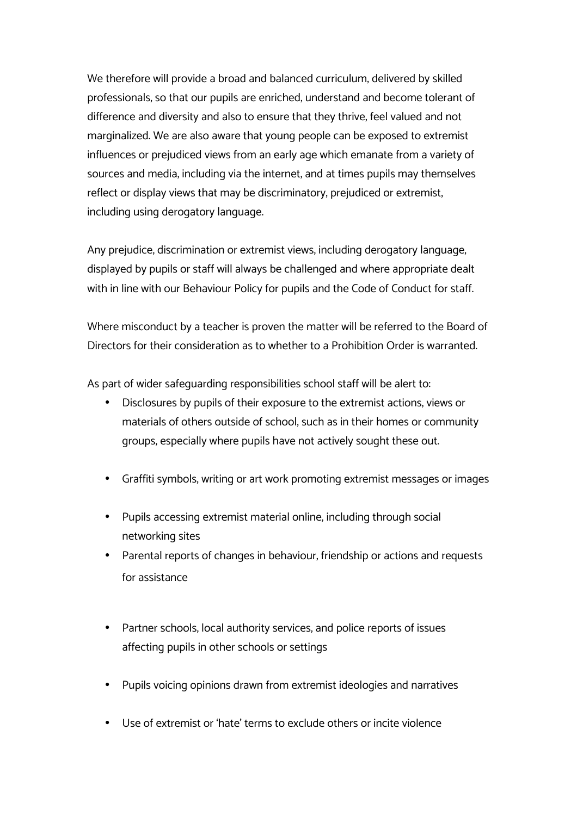We therefore will provide a broad and balanced curriculum, delivered by skilled professionals, so that our pupils are enriched, understand and become tolerant of difference and diversity and also to ensure that they thrive, feel valued and not marginalized. We are also aware that young people can be exposed to extremist influences or prejudiced views from an early age which emanate from a variety of sources and media, including via the internet, and at times pupils may themselves reflect or display views that may be discriminatory, prejudiced or extremist, including using derogatory language.

Any prejudice, discrimination or extremist views, including derogatory language, displayed by pupils or staff will always be challenged and where appropriate dealt with in line with our Behaviour Policy for pupils and the Code of Conduct for staff.

Where misconduct by a teacher is proven the matter will be referred to the Board of Directors for their consideration as to whether to a Prohibition Order is warranted.

As part of wider safeguarding responsibilities school staff will be alert to:

- Disclosures by pupils of their exposure to the extremist actions, views or materials of others outside of school, such as in their homes or community groups, especially where pupils have not actively sought these out.
- Graffiti symbols, writing or art work promoting extremist messages or images
- Pupils accessing extremist material online, including through social networking sites
- Parental reports of changes in behaviour, friendship or actions and requests for assistance
- Partner schools, local authority services, and police reports of issues affecting pupils in other schools or settings
- Pupils voicing opinions drawn from extremist ideologies and narratives
- Use of extremist or 'hate' terms to exclude others or incite violence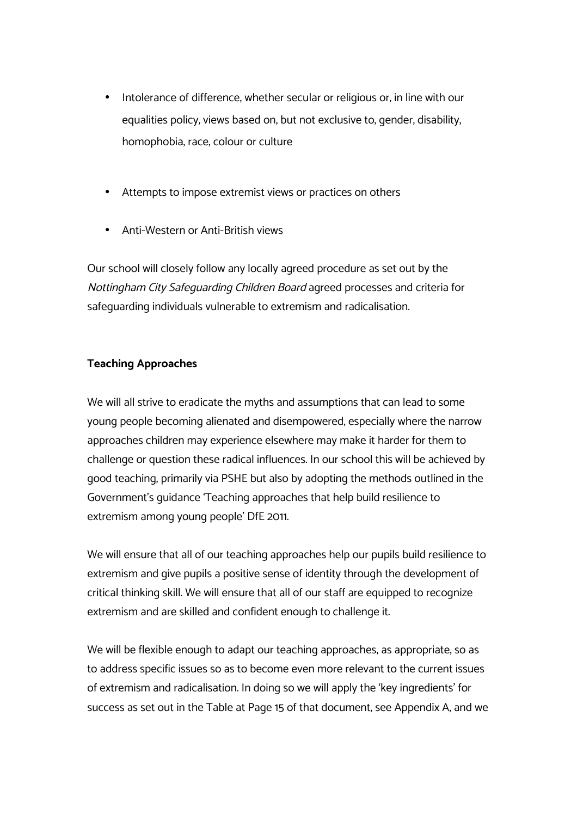- Intolerance of difference, whether secular or religious or, in line with our equalities policy, views based on, but not exclusive to, gender, disability, homophobia, race, colour or culture
- Attempts to impose extremist views or practices on others
- Anti-Western or Anti-British views

Our school will closely follow any locally agreed procedure as set out by the Nottingham City Safeguarding Children Board agreed processes and criteria for safeguarding individuals vulnerable to extremism and radicalisation.

# **Teaching Approaches**

We will all strive to eradicate the myths and assumptions that can lead to some young people becoming alienated and disempowered, especially where the narrow approaches children may experience elsewhere may make it harder for them to challenge or question these radical influences. In our school this will be achieved by good teaching, primarily via PSHE but also by adopting the methods outlined in the Government's guidance 'Teaching approaches that help build resilience to extremism among young people' DfE 2011.

We will ensure that all of our teaching approaches help our pupils build resilience to extremism and give pupils a positive sense of identity through the development of critical thinking skill. We will ensure that all of our staff are equipped to recognize extremism and are skilled and confident enough to challenge it.

We will be flexible enough to adapt our teaching approaches, as appropriate, so as to address specific issues so as to become even more relevant to the current issues of extremism and radicalisation. In doing so we will apply the 'key ingredients' for success as set out in the Table at Page 15 of that document, see Appendix A, and we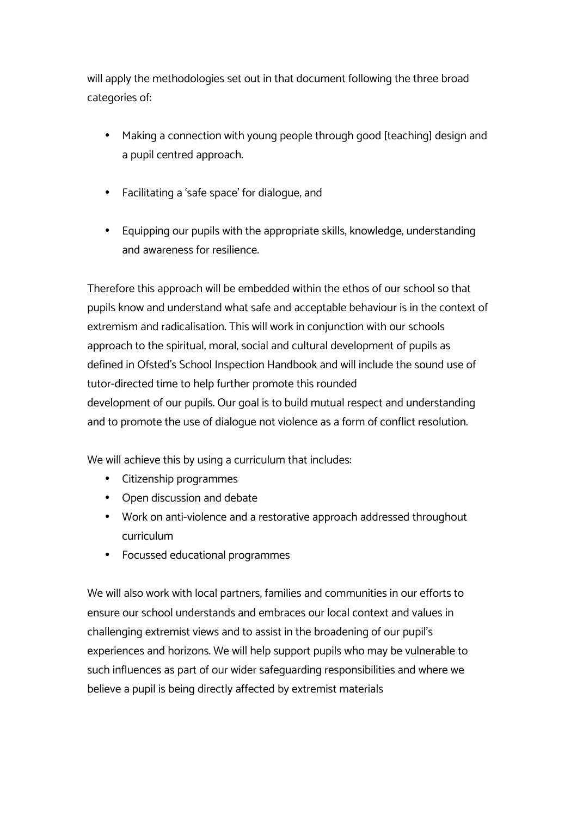will apply the methodologies set out in that document following the three broad categories of:

- Making a connection with young people through good [teaching] design and a pupil centred approach.
- Facilitating a 'safe space' for dialogue, and
- Equipping our pupils with the appropriate skills, knowledge, understanding and awareness for resilience.

Therefore this approach will be embedded within the ethos of our school so that pupils know and understand what safe and acceptable behaviour is in the context of extremism and radicalisation. This will work in conjunction with our schools approach to the spiritual, moral, social and cultural development of pupils as defined in Ofsted's School Inspection Handbook and will include the sound use of tutor-directed time to help further promote this rounded development of our pupils. Our goal is to build mutual respect and understanding and to promote the use of dialogue not violence as a form of conflict resolution.

We will achieve this by using a curriculum that includes:

- Citizenship programmes
- Open discussion and debate
- Work on anti-violence and a restorative approach addressed throughout curriculum
- Focussed educational programmes

We will also work with local partners, families and communities in our efforts to ensure our school understands and embraces our local context and values in challenging extremist views and to assist in the broadening of our pupil's experiences and horizons. We will help support pupils who may be vulnerable to such influences as part of our wider safeguarding responsibilities and where we believe a pupil is being directly affected by extremist materials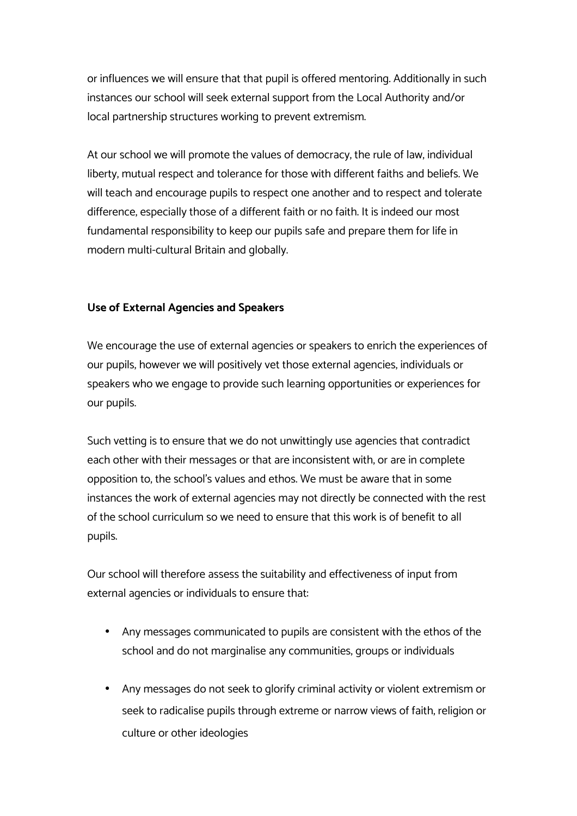or influences we will ensure that that pupil is offered mentoring. Additionally in such instances our school will seek external support from the Local Authority and/or local partnership structures working to prevent extremism.

At our school we will promote the values of democracy, the rule of law, individual liberty, mutual respect and tolerance for those with different faiths and beliefs. We will teach and encourage pupils to respect one another and to respect and tolerate difference, especially those of a different faith or no faith. It is indeed our most fundamental responsibility to keep our pupils safe and prepare them for life in modern multi-cultural Britain and globally.

# **Use of External Agencies and Speakers**

We encourage the use of external agencies or speakers to enrich the experiences of our pupils, however we will positively vet those external agencies, individuals or speakers who we engage to provide such learning opportunities or experiences for our pupils.

Such vetting is to ensure that we do not unwittingly use agencies that contradict each other with their messages or that are inconsistent with, or are in complete opposition to, the school's values and ethos. We must be aware that in some instances the work of external agencies may not directly be connected with the rest of the school curriculum so we need to ensure that this work is of benefit to all pupils.

Our school will therefore assess the suitability and effectiveness of input from external agencies or individuals to ensure that:

- Any messages communicated to pupils are consistent with the ethos of the school and do not marginalise any communities, groups or individuals
- Any messages do not seek to glorify criminal activity or violent extremism or seek to radicalise pupils through extreme or narrow views of faith, religion or culture or other ideologies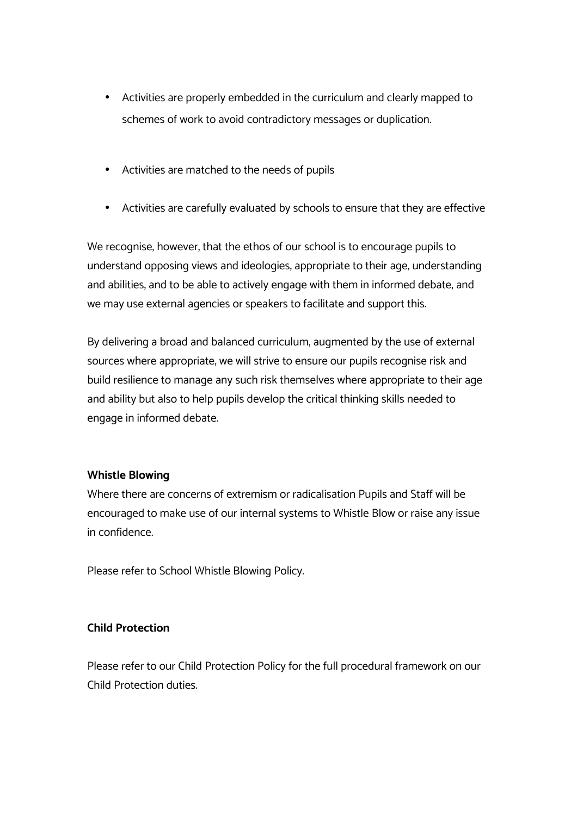- Activities are properly embedded in the curriculum and clearly mapped to schemes of work to avoid contradictory messages or duplication.
- Activities are matched to the needs of pupils
- Activities are carefully evaluated by schools to ensure that they are effective

We recognise, however, that the ethos of our school is to encourage pupils to understand opposing views and ideologies, appropriate to their age, understanding and abilities, and to be able to actively engage with them in informed debate, and we may use external agencies or speakers to facilitate and support this.

By delivering a broad and balanced curriculum, augmented by the use of external sources where appropriate, we will strive to ensure our pupils recognise risk and build resilience to manage any such risk themselves where appropriate to their age and ability but also to help pupils develop the critical thinking skills needed to engage in informed debate.

# **Whistle Blowing**

Where there are concerns of extremism or radicalisation Pupils and Staff will be encouraged to make use of our internal systems to Whistle Blow or raise any issue in confidence.

Please refer to School Whistle Blowing Policy.

# **Child Protection**

Please refer to our Child Protection Policy for the full procedural framework on our Child Protection duties.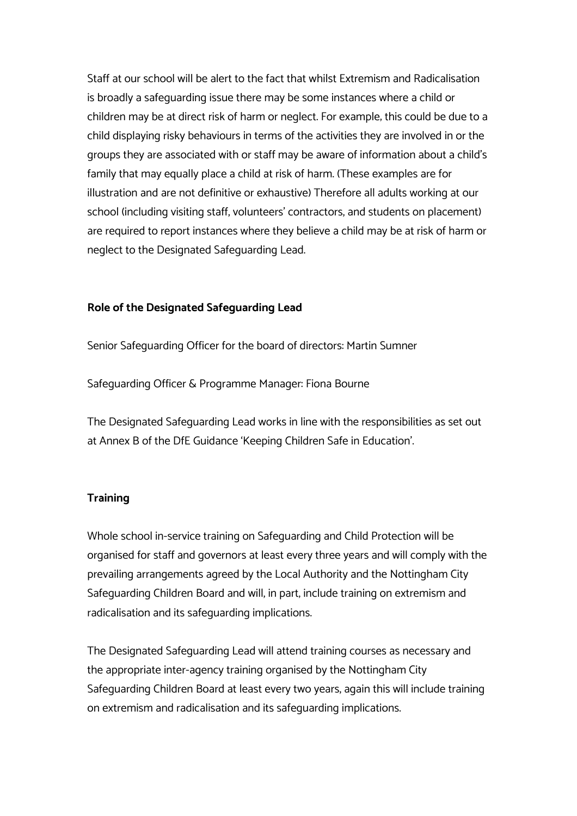Staff at our school will be alert to the fact that whilst Extremism and Radicalisation is broadly a safeguarding issue there may be some instances where a child or children may be at direct risk of harm or neglect. For example; this could be due to a child displaying risky behaviours in terms of the activities they are involved in or the groups they are associated with or staff may be aware of information about a child's family that may equally place a child at risk of harm. (These examples are for illustration and are not definitive or exhaustive) Therefore all adults working at our school (including visiting staff, volunteers' contractors, and students on placement) are required to report instances where they believe a child may be at risk of harm or neglect to the Designated Safeguarding Lead.

#### **Role of the Designated Safeguarding Lead**

Senior Safeguarding Officer for the board of directors: Martin Sumner

Safeguarding Officer & Programme Manager: Fiona Bourne

The Designated Safeguarding Lead works in line with the responsibilities as set out at Annex B of the DfE Guidance 'Keeping Children Safe in Education'.

#### **Training**

Whole school in-service training on Safeguarding and Child Protection will be organised for staff and governors at least every three years and will comply with the prevailing arrangements agreed by the Local Authority and the Nottingham City Safeguarding Children Board and will, in part, include training on extremism and radicalisation and its safeguarding implications.

The Designated Safeguarding Lead will attend training courses as necessary and the appropriate inter-agency training organised by the Nottingham City Safeguarding Children Board at least every two years, again this will include training on extremism and radicalisation and its safeguarding implications.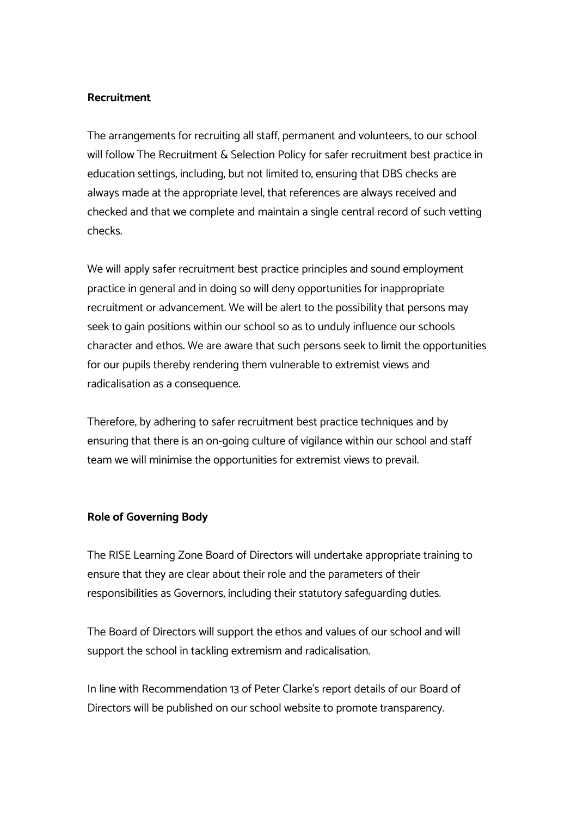#### **Recruitment**

The arrangements for recruiting all staff, permanent and volunteers, to our school will follow The Recruitment & Selection Policy for safer recruitment best practice in education settings, including, but not limited to, ensuring that DBS checks are always made at the appropriate level, that references are always received and checked and that we complete and maintain a single central record of such vetting checks.

We will apply safer recruitment best practice principles and sound employment practice in general and in doing so will deny opportunities for inappropriate recruitment or advancement. We will be alert to the possibility that persons may seek to gain positions within our school so as to unduly influence our schools character and ethos. We are aware that such persons seek to limit the opportunities for our pupils thereby rendering them vulnerable to extremist views and radicalisation as a consequence.

Therefore, by adhering to safer recruitment best practice techniques and by ensuring that there is an on-going culture of vigilance within our school and staff team we will minimise the opportunities for extremist views to prevail.

#### **Role of Governing Body**

The RISE Learning Zone Board of Directors will undertake appropriate training to ensure that they are clear about their role and the parameters of their responsibilities as Governors, including their statutory safeguarding duties.

The Board of Directors will support the ethos and values of our school and will support the school in tackling extremism and radicalisation.

In line with Recommendation 13 of Peter Clarke's report details of our Board of Directors will be published on our school website to promote transparency.